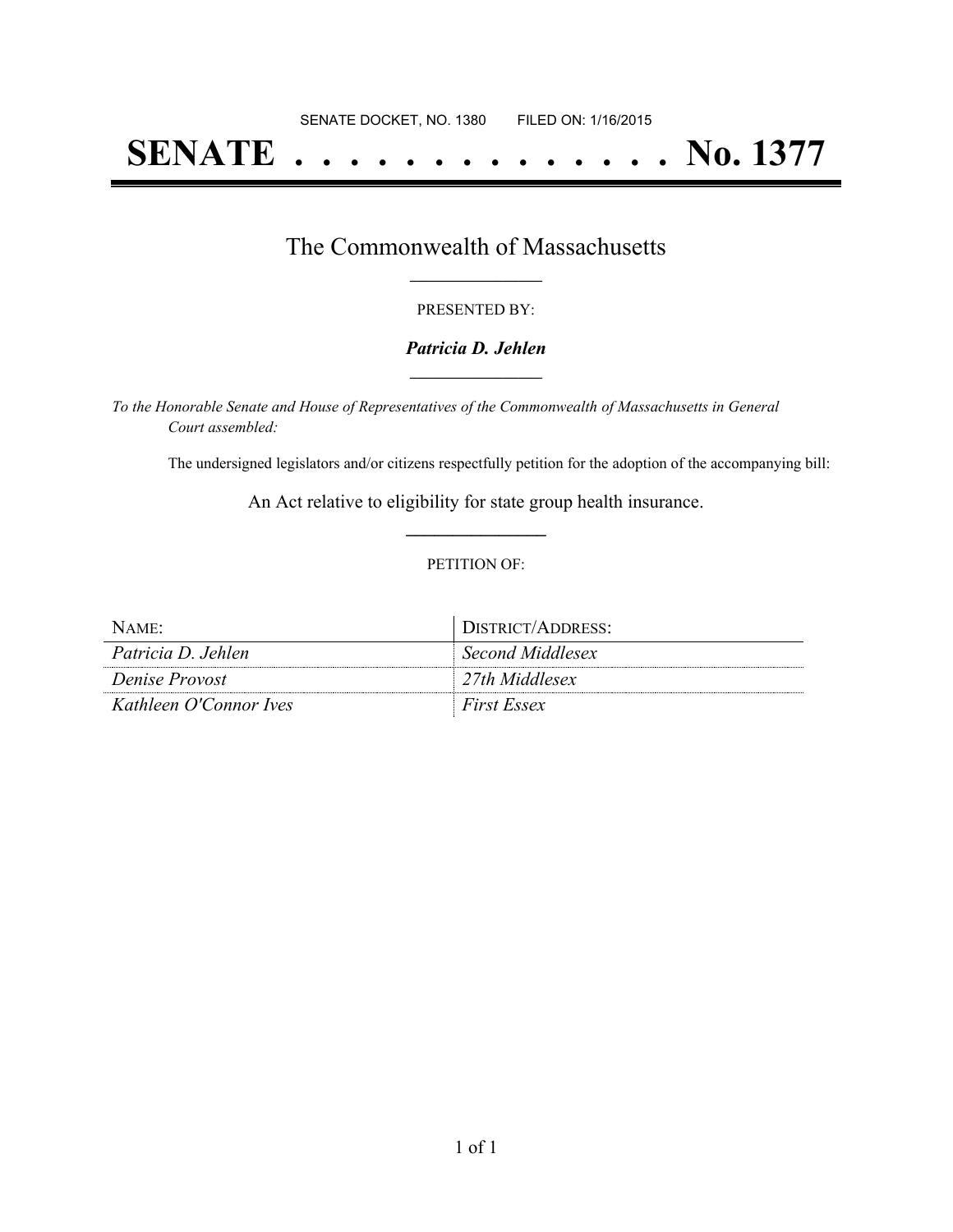# **SENATE . . . . . . . . . . . . . . No. 1377**

## The Commonwealth of Massachusetts **\_\_\_\_\_\_\_\_\_\_\_\_\_\_\_\_\_**

#### PRESENTED BY:

#### *Patricia D. Jehlen* **\_\_\_\_\_\_\_\_\_\_\_\_\_\_\_\_\_**

*To the Honorable Senate and House of Representatives of the Commonwealth of Massachusetts in General Court assembled:*

The undersigned legislators and/or citizens respectfully petition for the adoption of the accompanying bill:

An Act relative to eligibility for state group health insurance. **\_\_\_\_\_\_\_\_\_\_\_\_\_\_\_**

#### PETITION OF:

| $NAME$ :               | DISTRICT/ADDRESS:  |
|------------------------|--------------------|
| Patricia D. Jehlen     | Second Middlesex   |
| Denise Provost         | 27th Middlesex     |
| Kathleen O'Connor Ives | <i>First Essex</i> |